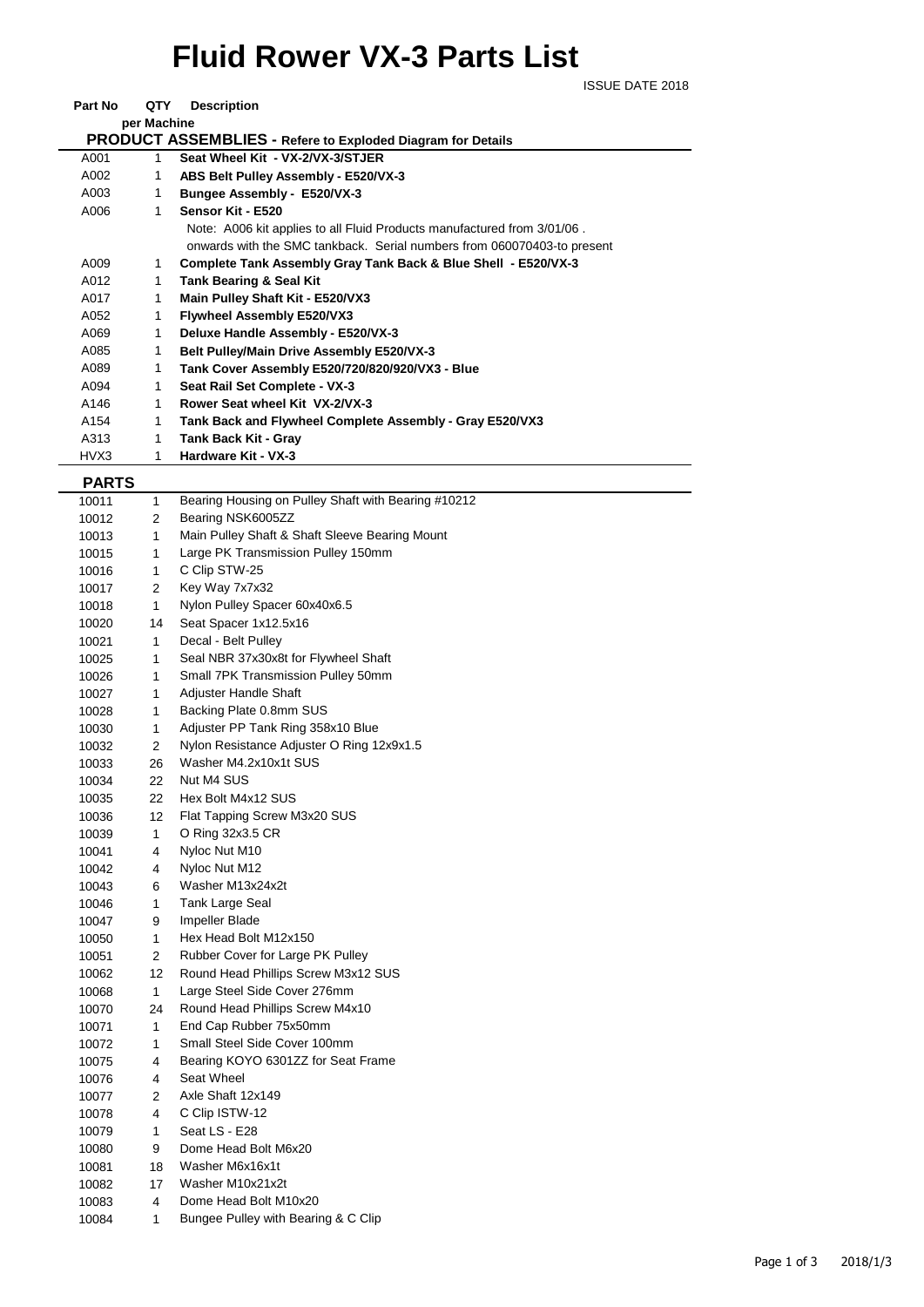## **Fluid Rower VX-3 Parts List**

|              |             | <b>ISSUE DATE 2018</b>                                                  |
|--------------|-------------|-------------------------------------------------------------------------|
| Part No      | QTY         | <b>Description</b>                                                      |
|              | per Machine |                                                                         |
|              |             | PRODUCT ASSEMBLIES - Refere to Exploded Diagram for Details             |
| A001         | 1           | Seat Wheel Kit - VX-2/VX-3/STJER                                        |
| A002         | 1           | ABS Belt Pulley Assembly - E520/VX-3                                    |
| A003         | 1           | Bungee Assembly - E520/VX-3                                             |
| A006         | 1           | Sensor Kit - E520                                                       |
|              |             |                                                                         |
|              |             | Note: A006 kit applies to all Fluid Products manufactured from 3/01/06. |
|              |             | onwards with the SMC tankback. Serial numbers from 060070403-to present |
| A009         | 1           | Complete Tank Assembly Gray Tank Back & Blue Shell - E520/VX-3          |
| A012         | 1           | <b>Tank Bearing &amp; Seal Kit</b>                                      |
| A017         | 1           | Main Pulley Shaft Kit - E520/VX3                                        |
| A052         | 1           | <b>Flywheel Assembly E520/VX3</b>                                       |
| A069         | 1           | Deluxe Handle Assembly - E520/VX-3                                      |
| A085         | 1           | <b>Belt Pulley/Main Drive Assembly E520/VX-3</b>                        |
| A089         | 1           | Tank Cover Assembly E520/720/820/920/VX3 - Blue                         |
| A094         | 1           | Seat Rail Set Complete - VX-3                                           |
| A146         | 1           | Rower Seat wheel Kit VX-2/VX-3                                          |
| A154         | 1           | Tank Back and Flywheel Complete Assembly - Gray E520/VX3                |
| A313         | 1           | <b>Tank Back Kit - Gray</b>                                             |
| HVX3         | 1           | Hardware Kit - VX-3                                                     |
| <b>PARTS</b> |             |                                                                         |
| 10011        | 1           | Bearing Housing on Pulley Shaft with Bearing #10212                     |
| 10012        | 2           | Bearing NSK6005ZZ                                                       |
| 10013        | 1           | Main Pulley Shaft & Shaft Sleeve Bearing Mount                          |
| 10015        | 1           | Large PK Transmission Pulley 150mm                                      |
| 10016        | 1           | C Clip STW-25                                                           |
|              | 2           | Key Way 7x7x32                                                          |
| 10017        | 1           | Nylon Pulley Spacer 60x40x6.5                                           |
| 10018        |             | Seat Spacer 1x12.5x16                                                   |
| 10020        | 14          |                                                                         |
| 10021        | 1           | Decal - Belt Pulley                                                     |
| 10025        | 1           | Seal NBR 37x30x8t for Flywheel Shaft                                    |
| 10026        | 1           | Small 7PK Transmission Pulley 50mm                                      |
| 10027        | 1           | Adjuster Handle Shaft                                                   |
| 10028        | 1           | Backing Plate 0.8mm SUS                                                 |
| 10030        | 1           | Adjuster PP Tank Ring 358x10 Blue                                       |
| 10032        | 2           | Nylon Resistance Adjuster O Ring 12x9x1.5                               |
| 10033        | 26          | Washer M4.2x10x1t SUS                                                   |
| 10034        | 22          | Nut M4 SUS                                                              |
| 10035        | 22          | Hex Bolt M4x12 SUS                                                      |
| 10036        | 12          | Flat Tapping Screw M3x20 SUS                                            |
| 10039        | 1           | O Ring 32x3.5 CR                                                        |
| 10041        | 4           | Nyloc Nut M10                                                           |
| 10042        | 4           | Nyloc Nut M12                                                           |
| 10043        | 6           | Washer M13x24x2t                                                        |
| 10046        | 1           | <b>Tank Large Seal</b>                                                  |
| 10047        | 9           | Impeller Blade                                                          |
| 10050        | 1           | Hex Head Bolt M12x150                                                   |
| 10051        | 2           | Rubber Cover for Large PK Pulley                                        |
| 10062        | 12          | Round Head Phillips Screw M3x12 SUS                                     |
| 10068        | 1           | Large Steel Side Cover 276mm                                            |
| 10070        | 24          | Round Head Phillips Screw M4x10                                         |
| 10071        | 1           | End Cap Rubber 75x50mm                                                  |
| 10072        | 1           | Small Steel Side Cover 100mm                                            |
| 10075        | 4           | Bearing KOYO 6301ZZ for Seat Frame                                      |
| 10076        | 4           | Seat Wheel                                                              |
| 10077        | 2           | Axle Shaft 12x149                                                       |
| 10078        | 4           | C Clip ISTW-12                                                          |
| 10079        | 1           | Seat LS - E28                                                           |
| 10080        | 9           | Dome Head Bolt M6x20                                                    |

 4 Dome Head Bolt M10x20 10084 1 Bungee Pulley with Bearing & C Clip

 18 Washer M6x16x1t 17 Washer M10x21x2t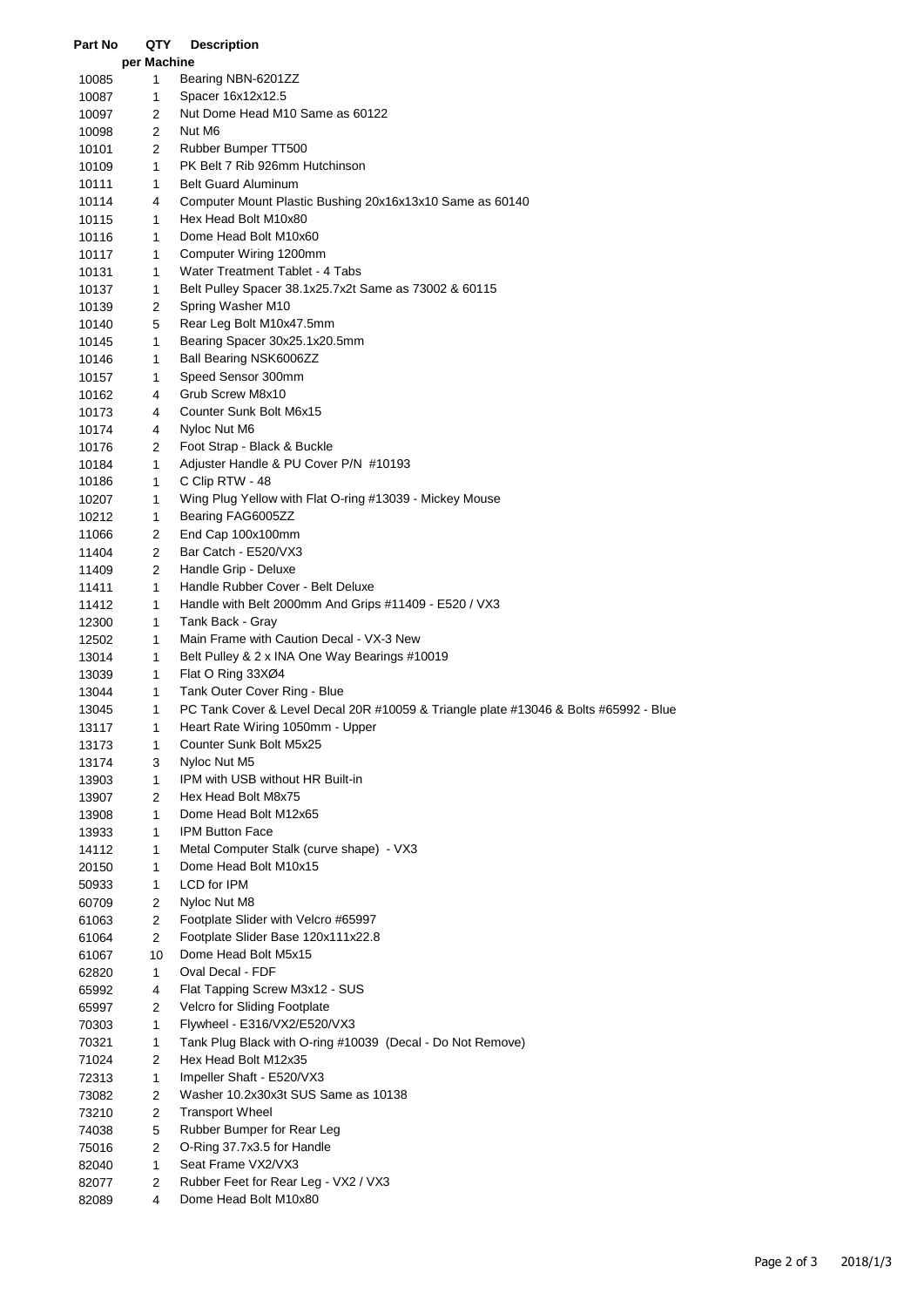| Part No        | QTY            | <b>Description</b>                                                                   |
|----------------|----------------|--------------------------------------------------------------------------------------|
|                | per Machine    |                                                                                      |
| 10085          | 1              | Bearing NBN-6201ZZ                                                                   |
| 10087          | 1              | Spacer 16x12x12.5                                                                    |
| 10097          | 2              | Nut Dome Head M10 Same as 60122                                                      |
| 10098          | 2              | Nut M6                                                                               |
| 10101          | 2              | Rubber Bumper TT500                                                                  |
| 10109          | 1              | PK Belt 7 Rib 926mm Hutchinson                                                       |
| 10111          | 1              | <b>Belt Guard Aluminum</b>                                                           |
| 10114          | 4              | Computer Mount Plastic Bushing 20x16x13x10 Same as 60140                             |
| 10115          | 1              | Hex Head Bolt M10x80                                                                 |
| 10116          | 1              | Dome Head Bolt M10x60                                                                |
| 10117          | 1              | Computer Wiring 1200mm                                                               |
| 10131          | 1              | Water Treatment Tablet - 4 Tabs                                                      |
| 10137          | 1              | Belt Pulley Spacer 38.1x25.7x2t Same as 73002 & 60115                                |
| 10139          | 2              | Spring Washer M10                                                                    |
| 10140          | 5              | Rear Leg Bolt M10x47.5mm                                                             |
| 10145          | 1              | Bearing Spacer 30x25.1x20.5mm                                                        |
| 10146          | 1              | Ball Bearing NSK6006ZZ                                                               |
| 10157          | 1              | Speed Sensor 300mm                                                                   |
| 10162          | 4              | Grub Screw M8x10                                                                     |
| 10173          | 4              | Counter Sunk Bolt M6x15                                                              |
| 10174          | 4              | Nyloc Nut M6                                                                         |
| 10176          | 2              | Foot Strap - Black & Buckle                                                          |
| 10184          | 1              | Adjuster Handle & PU Cover P/N #10193                                                |
| 10186          | $\mathbf{1}$   | C Clip RTW - 48                                                                      |
| 10207          | 1              | Wing Plug Yellow with Flat O-ring #13039 - Mickey Mouse                              |
| 10212          | $\mathbf{1}$   | Bearing FAG6005ZZ                                                                    |
| 11066          | 2              | End Cap 100x100mm                                                                    |
| 11404          | 2              | Bar Catch - E520/VX3                                                                 |
| 11409          | 2              | Handle Grip - Deluxe                                                                 |
| 11411          | 1              | Handle Rubber Cover - Belt Deluxe                                                    |
| 11412          | 1              | Handle with Belt 2000mm And Grips #11409 - E520 / VX3                                |
| 12300          | 1              | Tank Back - Gray<br>Main Frame with Caution Decal - VX-3 New                         |
| 12502          | 1              | Belt Pulley & 2 x INA One Way Bearings #10019                                        |
| 13014          | 1<br>1         | Flat O Ring 33XØ4                                                                    |
| 13039          | $\mathbf{1}$   | Tank Outer Cover Ring - Blue                                                         |
| 13044<br>13045 | 1              | PC Tank Cover & Level Decal 20R #10059 & Triangle plate #13046 & Bolts #65992 - Blue |
| 13117          | 1              | Heart Rate Wiring 1050mm - Upper                                                     |
| 13173          | 1              | Counter Sunk Bolt M5x25                                                              |
| 13174          | 3              | Nyloc Nut M5                                                                         |
| 13903          | 1              | IPM with USB without HR Built-in                                                     |
| 13907          | 2              | Hex Head Bolt M8x75                                                                  |
| 13908          | 1              | Dome Head Bolt M12x65                                                                |
| 13933          | 1              | <b>IPM Button Face</b>                                                               |
| 14112          | 1              | Metal Computer Stalk (curve shape) - VX3                                             |
| 20150          | 1              | Dome Head Bolt M10x15                                                                |
| 50933          | 1              | LCD for IPM                                                                          |
| 60709          | 2              | Nyloc Nut M8                                                                         |
| 61063          | $\overline{c}$ | Footplate Slider with Velcro #65997                                                  |
| 61064          | 2              | Footplate Slider Base 120x111x22.8                                                   |
| 61067          | 10             | Dome Head Bolt M5x15                                                                 |
| 62820          | 1              | Oval Decal - FDF                                                                     |
| 65992          | 4              | Flat Tapping Screw M3x12 - SUS                                                       |
| 65997          | 2              | Velcro for Sliding Footplate                                                         |
| 70303          | 1              | Flywheel - E316/VX2/E520/VX3                                                         |
| 70321          | 1              | Tank Plug Black with O-ring #10039 (Decal - Do Not Remove)                           |
| 71024          | 2              | Hex Head Bolt M12x35                                                                 |
| 72313          | 1              | Impeller Shaft - E520/VX3                                                            |
| 73082          | 2              | Washer 10.2x30x3t SUS Same as 10138                                                  |
| 73210          | 2              | <b>Transport Wheel</b>                                                               |
| 74038          | $\mathbf 5$    | Rubber Bumper for Rear Leg                                                           |
| 75016          | 2              | O-Ring 37.7x3.5 for Handle                                                           |
| 82040          | 1              | Seat Frame VX2/VX3                                                                   |
| 82077          | 2              | Rubber Feet for Rear Leg - VX2 / VX3                                                 |
| 82089          | 4              | Dome Head Bolt M10x80                                                                |